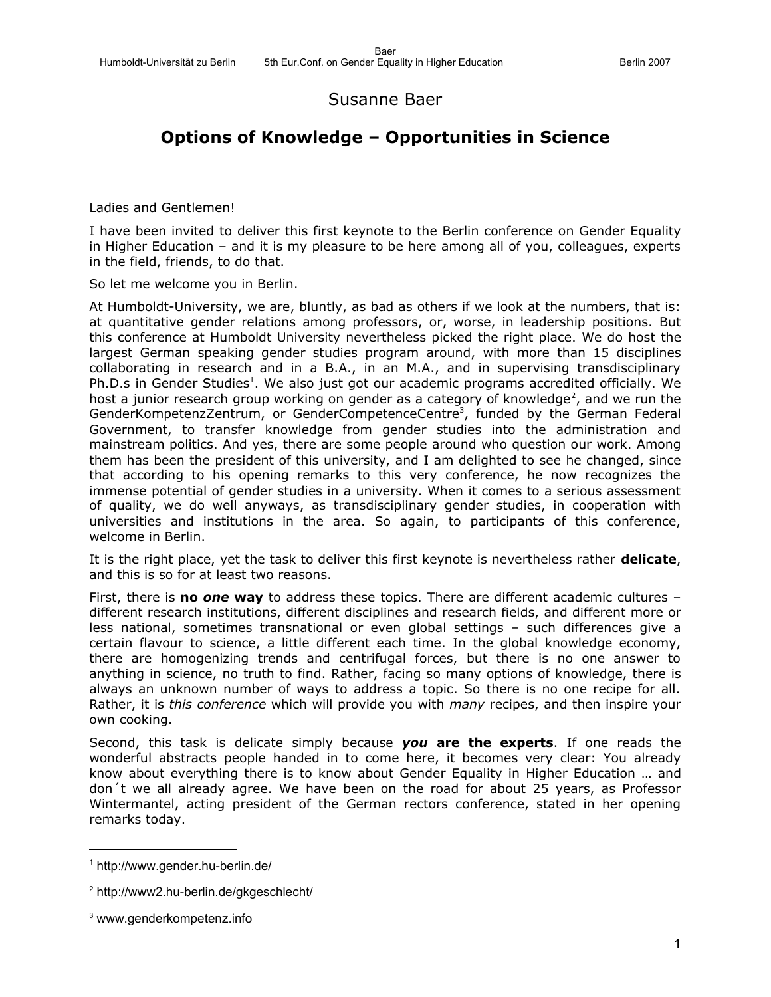## Susanne Baer

# **Options of Knowledge – Opportunities in Science**

Ladies and Gentlemen!

I have been invited to deliver this first keynote to the Berlin conference on Gender Equality in Higher Education – and it is my pleasure to be here among all of you, colleagues, experts in the field, friends, to do that.

So let me welcome you in Berlin.

At Humboldt-University, we are, bluntly, as bad as others if we look at the numbers, that is: at quantitative gender relations among professors, or, worse, in leadership positions. But this conference at Humboldt University nevertheless picked the right place. We do host the largest German speaking gender studies program around, with more than 15 disciplines collaborating in research and in a B.A., in an M.A., and in supervising transdisciplinary Ph.D.s in Gender Studies<sup>[1](#page-0-0)</sup>. We also just got our academic programs accredited officially. We host a junior research group working on gender as a category of knowledge<sup>[2](#page-0-1)</sup>, and we run the GenderKompetenzZentrum, or GenderCompetenceCentre<sup>[3](#page-0-2)</sup>, funded by the German Federal Government, to transfer knowledge from gender studies into the administration and mainstream politics. And yes, there are some people around who question our work. Among them has been the president of this university, and I am delighted to see he changed, since that according to his opening remarks to this very conference, he now recognizes the immense potential of gender studies in a university. When it comes to a serious assessment of quality, we do well anyways, as transdisciplinary gender studies, in cooperation with universities and institutions in the area. So again, to participants of this conference, welcome in Berlin.

It is the right place, yet the task to deliver this first keynote is nevertheless rather **delicate**, and this is so for at least two reasons.

First, there is **no** *one* **way** to address these topics. There are different academic cultures – different research institutions, different disciplines and research fields, and different more or less national, sometimes transnational or even global settings – such differences give a certain flavour to science, a little different each time. In the global knowledge economy, there are homogenizing trends and centrifugal forces, but there is no one answer to anything in science, no truth to find. Rather, facing so many options of knowledge, there is always an unknown number of ways to address a topic. So there is no one recipe for all. Rather, it is *this conference* which will provide you with *many* recipes, and then inspire your own cooking.

Second, this task is delicate simply because *you* **are the experts**. If one reads the wonderful abstracts people handed in to come here, it becomes very clear: You already know about everything there is to know about Gender Equality in Higher Education … and don´t we all already agree. We have been on the road for about 25 years, as Professor Wintermantel, acting president of the German rectors conference, stated in her opening remarks today.

<span id="page-0-0"></span><sup>1</sup> http://www.gender.hu-berlin.de/

<span id="page-0-1"></span><sup>2</sup> http://www2.hu-berlin.de/gkgeschlecht/

<span id="page-0-2"></span><sup>3</sup> www.genderkompetenz.info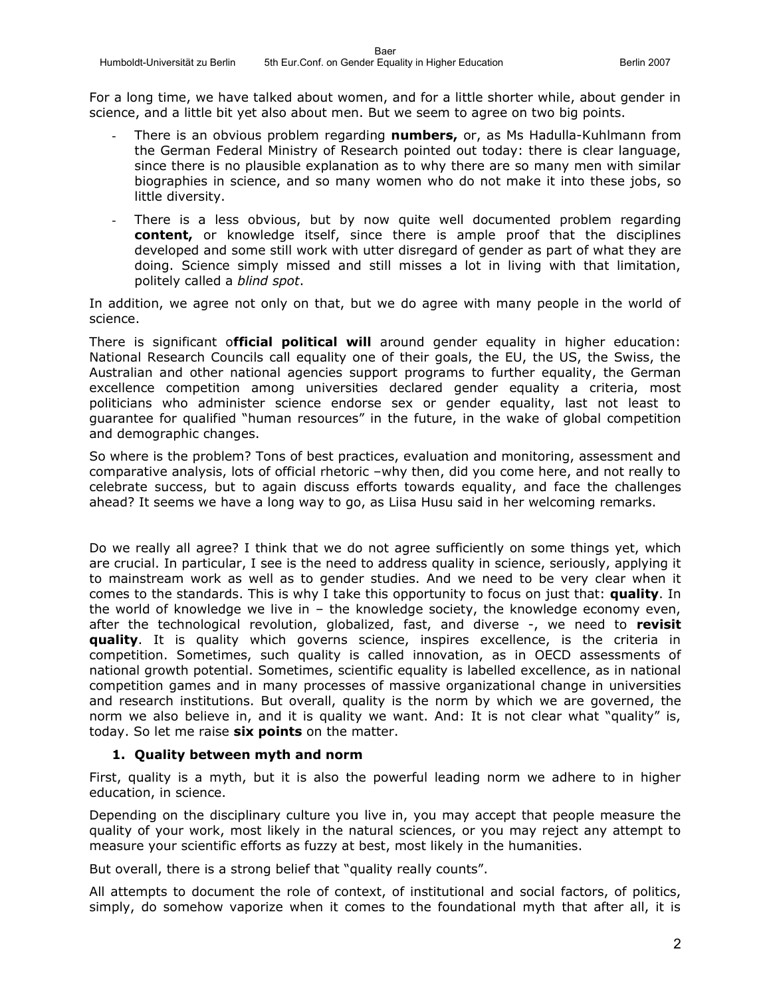For a long time, we have talked about women, and for a little shorter while, about gender in science, and a little bit yet also about men. But we seem to agree on two big points.

- There is an obvious problem regarding **numbers,** or, as Ms Hadulla-Kuhlmann from the German Federal Ministry of Research pointed out today: there is clear language, since there is no plausible explanation as to why there are so many men with similar biographies in science, and so many women who do not make it into these jobs, so little diversity.
- There is a less obvious, but by now quite well documented problem regarding **content,** or knowledge itself, since there is ample proof that the disciplines developed and some still work with utter disregard of gender as part of what they are doing. Science simply missed and still misses a lot in living with that limitation, politely called a *blind spot*.

In addition, we agree not only on that, but we do agree with many people in the world of science.

There is significant o**fficial political will** around gender equality in higher education: National Research Councils call equality one of their goals, the EU, the US, the Swiss, the Australian and other national agencies support programs to further equality, the German excellence competition among universities declared gender equality a criteria, most politicians who administer science endorse sex or gender equality, last not least to guarantee for qualified "human resources" in the future, in the wake of global competition and demographic changes.

So where is the problem? Tons of best practices, evaluation and monitoring, assessment and comparative analysis, lots of official rhetoric –why then, did you come here, and not really to celebrate success, but to again discuss efforts towards equality, and face the challenges ahead? It seems we have a long way to go, as Liisa Husu said in her welcoming remarks.

Do we really all agree? I think that we do not agree sufficiently on some things yet, which are crucial. In particular, I see is the need to address quality in science, seriously, applying it to mainstream work as well as to gender studies. And we need to be very clear when it comes to the standards. This is why I take this opportunity to focus on just that: **quality**. In the world of knowledge we live in – the knowledge society, the knowledge economy even, after the technological revolution, globalized, fast, and diverse -, we need to **revisit quality**. It is quality which governs science, inspires excellence, is the criteria in competition. Sometimes, such quality is called innovation, as in OECD assessments of national growth potential. Sometimes, scientific equality is labelled excellence, as in national competition games and in many processes of massive organizational change in universities and research institutions. But overall, quality is the norm by which we are governed, the norm we also believe in, and it is quality we want. And: It is not clear what "quality" is, today. So let me raise **six points** on the matter.

## **1. Quality between myth and norm**

First, quality is a myth, but it is also the powerful leading norm we adhere to in higher education, in science.

Depending on the disciplinary culture you live in, you may accept that people measure the quality of your work, most likely in the natural sciences, or you may reject any attempt to measure your scientific efforts as fuzzy at best, most likely in the humanities.

But overall, there is a strong belief that "quality really counts".

All attempts to document the role of context, of institutional and social factors, of politics, simply, do somehow vaporize when it comes to the foundational myth that after all, it is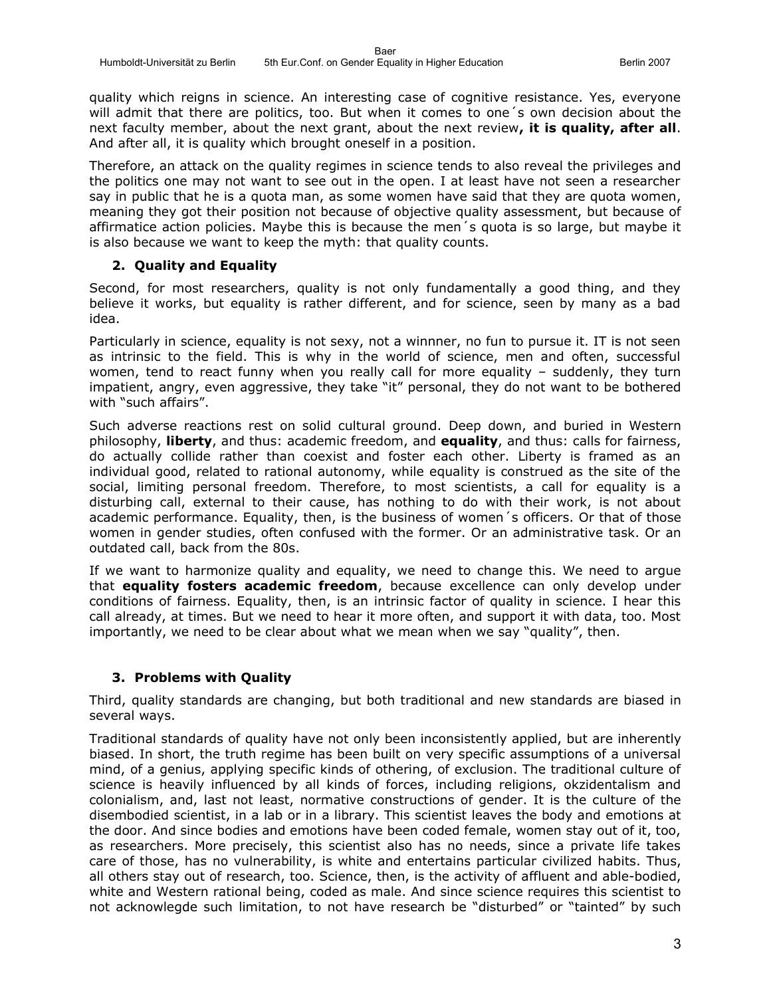quality which reigns in science. An interesting case of cognitive resistance. Yes, everyone will admit that there are politics, too. But when it comes to one´s own decision about the next faculty member, about the next grant, about the next review**, it is quality, after all**. And after all, it is quality which brought oneself in a position.

Therefore, an attack on the quality regimes in science tends to also reveal the privileges and the politics one may not want to see out in the open. I at least have not seen a researcher say in public that he is a quota man, as some women have said that they are quota women, meaning they got their position not because of objective quality assessment, but because of affirmatice action policies. Maybe this is because the men´s quota is so large, but maybe it is also because we want to keep the myth: that quality counts.

#### **2. Quality and Equality**

Second, for most researchers, quality is not only fundamentally a good thing, and they believe it works, but equality is rather different, and for science, seen by many as a bad idea.

Particularly in science, equality is not sexy, not a winnner, no fun to pursue it. IT is not seen as intrinsic to the field. This is why in the world of science, men and often, successful women, tend to react funny when you really call for more equality – suddenly, they turn impatient, angry, even aggressive, they take "it" personal, they do not want to be bothered with "such affairs".

Such adverse reactions rest on solid cultural ground. Deep down, and buried in Western philosophy, **liberty**, and thus: academic freedom, and **equality**, and thus: calls for fairness, do actually collide rather than coexist and foster each other. Liberty is framed as an individual good, related to rational autonomy, while equality is construed as the site of the social, limiting personal freedom. Therefore, to most scientists, a call for equality is a disturbing call, external to their cause, has nothing to do with their work, is not about academic performance. Equality, then, is the business of women´s officers. Or that of those women in gender studies, often confused with the former. Or an administrative task. Or an outdated call, back from the 80s.

If we want to harmonize quality and equality, we need to change this. We need to argue that **equality fosters academic freedom**, because excellence can only develop under conditions of fairness. Equality, then, is an intrinsic factor of quality in science. I hear this call already, at times. But we need to hear it more often, and support it with data, too. Most importantly, we need to be clear about what we mean when we say "quality", then.

## **3. Problems with Quality**

Third, quality standards are changing, but both traditional and new standards are biased in several ways.

Traditional standards of quality have not only been inconsistently applied, but are inherently biased. In short, the truth regime has been built on very specific assumptions of a universal mind, of a genius, applying specific kinds of othering, of exclusion. The traditional culture of science is heavily influenced by all kinds of forces, including religions, okzidentalism and colonialism, and, last not least, normative constructions of gender. It is the culture of the disembodied scientist, in a lab or in a library. This scientist leaves the body and emotions at the door. And since bodies and emotions have been coded female, women stay out of it, too, as researchers. More precisely, this scientist also has no needs, since a private life takes care of those, has no vulnerability, is white and entertains particular civilized habits. Thus, all others stay out of research, too. Science, then, is the activity of affluent and able-bodied, white and Western rational being, coded as male. And since science requires this scientist to not acknowlegde such limitation, to not have research be "disturbed" or "tainted" by such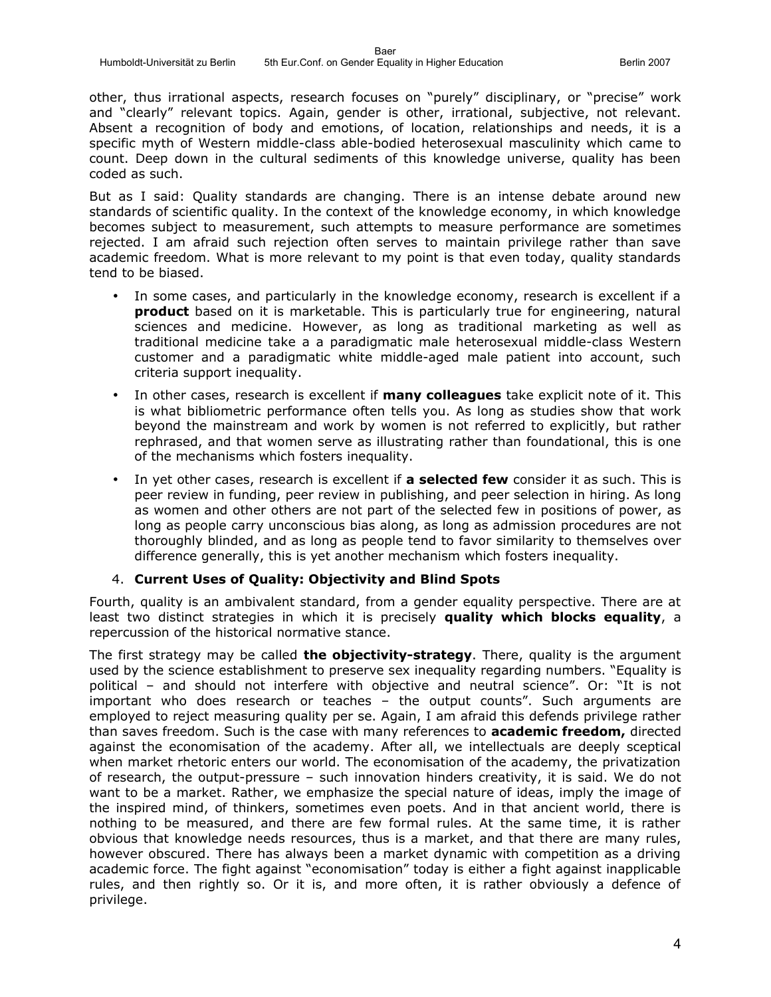other, thus irrational aspects, research focuses on "purely" disciplinary, or "precise" work and "clearly" relevant topics. Again, gender is other, irrational, subjective, not relevant. Absent a recognition of body and emotions, of location, relationships and needs, it is a specific myth of Western middle-class able-bodied heterosexual masculinity which came to count. Deep down in the cultural sediments of this knowledge universe, quality has been coded as such.

But as I said: Quality standards are changing. There is an intense debate around new standards of scientific quality. In the context of the knowledge economy, in which knowledge becomes subject to measurement, such attempts to measure performance are sometimes rejected. I am afraid such rejection often serves to maintain privilege rather than save academic freedom. What is more relevant to my point is that even today, quality standards tend to be biased.

- In some cases, and particularly in the knowledge economy, research is excellent if a **product** based on it is marketable. This is particularly true for engineering, natural sciences and medicine. However, as long as traditional marketing as well as traditional medicine take a a paradigmatic male heterosexual middle-class Western customer and a paradigmatic white middle-aged male patient into account, such criteria support inequality.
- In other cases, research is excellent if **many colleagues** take explicit note of it. This is what bibliometric performance often tells you. As long as studies show that work beyond the mainstream and work by women is not referred to explicitly, but rather rephrased, and that women serve as illustrating rather than foundational, this is one of the mechanisms which fosters inequality.
- In yet other cases, research is excellent if **a selected few** consider it as such. This is peer review in funding, peer review in publishing, and peer selection in hiring. As long as women and other others are not part of the selected few in positions of power, as long as people carry unconscious bias along, as long as admission procedures are not thoroughly blinded, and as long as people tend to favor similarity to themselves over difference generally, this is yet another mechanism which fosters inequality.

#### 4. **Current Uses of Quality: Objectivity and Blind Spots**

Fourth, quality is an ambivalent standard, from a gender equality perspective. There are at least two distinct strategies in which it is precisely **quality which blocks equality**, a repercussion of the historical normative stance.

The first strategy may be called **the objectivity-strategy**. There, quality is the argument used by the science establishment to preserve sex inequality regarding numbers. "Equality is political – and should not interfere with objective and neutral science". Or: "It is not important who does research or teaches – the output counts". Such arguments are employed to reject measuring quality per se. Again, I am afraid this defends privilege rather than saves freedom. Such is the case with many references to **academic freedom,** directed against the economisation of the academy. After all, we intellectuals are deeply sceptical when market rhetoric enters our world. The economisation of the academy, the privatization of research, the output-pressure – such innovation hinders creativity, it is said. We do not want to be a market. Rather, we emphasize the special nature of ideas, imply the image of the inspired mind, of thinkers, sometimes even poets. And in that ancient world, there is nothing to be measured, and there are few formal rules. At the same time, it is rather obvious that knowledge needs resources, thus is a market, and that there are many rules, however obscured. There has always been a market dynamic with competition as a driving academic force. The fight against "economisation" today is either a fight against inapplicable rules, and then rightly so. Or it is, and more often, it is rather obviously a defence of privilege.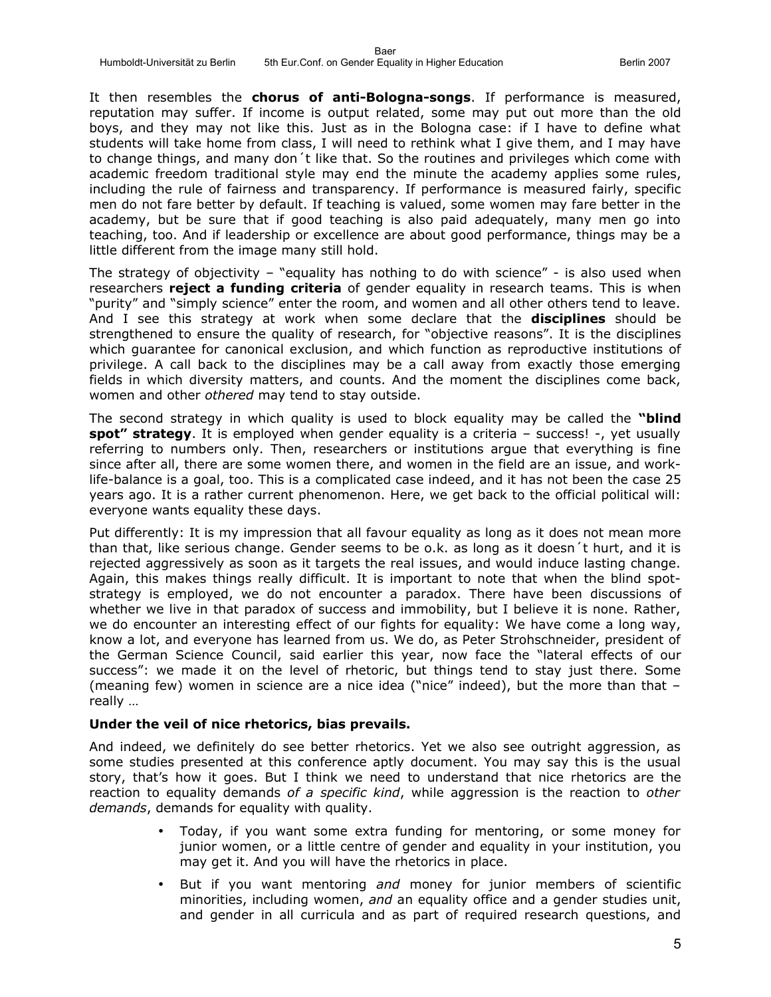It then resembles the **chorus of anti-Bologna-songs**. If performance is measured, reputation may suffer. If income is output related, some may put out more than the old boys, and they may not like this. Just as in the Bologna case: if I have to define what students will take home from class, I will need to rethink what I give them, and I may have to change things, and many don´t like that. So the routines and privileges which come with academic freedom traditional style may end the minute the academy applies some rules, including the rule of fairness and transparency. If performance is measured fairly, specific men do not fare better by default. If teaching is valued, some women may fare better in the academy, but be sure that if good teaching is also paid adequately, many men go into teaching, too. And if leadership or excellence are about good performance, things may be a little different from the image many still hold.

The strategy of objectivity – "equality has nothing to do with science" - is also used when researchers **reject a funding criteria** of gender equality in research teams. This is when "purity" and "simply science" enter the room, and women and all other others tend to leave. And I see this strategy at work when some declare that the **disciplines** should be strengthened to ensure the quality of research, for "objective reasons". It is the disciplines which guarantee for canonical exclusion, and which function as reproductive institutions of privilege. A call back to the disciplines may be a call away from exactly those emerging fields in which diversity matters, and counts. And the moment the disciplines come back, women and other *othered* may tend to stay outside.

The second strategy in which quality is used to block equality may be called the **"blind spot" strategy**. It is employed when gender equality is a criteria – success! -, yet usually referring to numbers only. Then, researchers or institutions argue that everything is fine since after all, there are some women there, and women in the field are an issue, and worklife-balance is a goal, too. This is a complicated case indeed, and it has not been the case 25 years ago. It is a rather current phenomenon. Here, we get back to the official political will: everyone wants equality these days.

Put differently: It is my impression that all favour equality as long as it does not mean more than that, like serious change. Gender seems to be o.k. as long as it doesn´t hurt, and it is rejected aggressively as soon as it targets the real issues, and would induce lasting change. Again, this makes things really difficult. It is important to note that when the blind spotstrategy is employed, we do not encounter a paradox. There have been discussions of whether we live in that paradox of success and immobility, but I believe it is none. Rather, we do encounter an interesting effect of our fights for equality: We have come a long way, know a lot, and everyone has learned from us. We do, as Peter Strohschneider, president of the German Science Council, said earlier this year, now face the "lateral effects of our success": we made it on the level of rhetoric, but things tend to stay just there. Some (meaning few) women in science are a nice idea ("nice" indeed), but the more than that – really …

#### **Under the veil of nice rhetorics, bias prevails.**

And indeed, we definitely do see better rhetorics. Yet we also see outright aggression, as some studies presented at this conference aptly document. You may say this is the usual story, that's how it goes. But I think we need to understand that nice rhetorics are the reaction to equality demands *of a specific kind*, while aggression is the reaction to *other demands*, demands for equality with quality.

- Today, if you want some extra funding for mentoring, or some money for junior women, or a little centre of gender and equality in your institution, you may get it. And you will have the rhetorics in place.
- But if you want mentoring *and* money for junior members of scientific minorities, including women, *and* an equality office and a gender studies unit, and gender in all curricula and as part of required research questions, and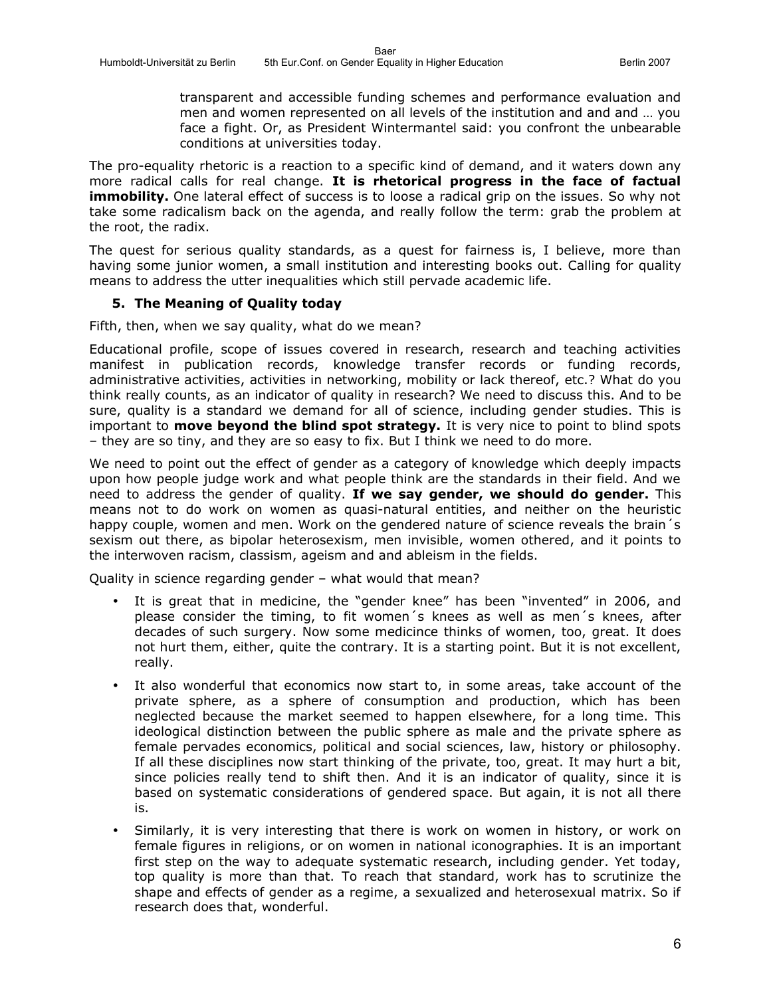transparent and accessible funding schemes and performance evaluation and men and women represented on all levels of the institution and and and … you face a fight. Or, as President Wintermantel said: you confront the unbearable conditions at universities today.

The pro-equality rhetoric is a reaction to a specific kind of demand, and it waters down any more radical calls for real change. **It is rhetorical progress in the face of factual immobility.** One lateral effect of success is to loose a radical grip on the issues. So why not take some radicalism back on the agenda, and really follow the term: grab the problem at the root, the radix.

The quest for serious quality standards, as a quest for fairness is, I believe, more than having some junior women, a small institution and interesting books out. Calling for quality means to address the utter inequalities which still pervade academic life.

#### **5. The Meaning of Quality today**

Fifth, then, when we say quality, what do we mean?

Educational profile, scope of issues covered in research, research and teaching activities manifest in publication records, knowledge transfer records or funding records, administrative activities, activities in networking, mobility or lack thereof, etc.? What do you think really counts, as an indicator of quality in research? We need to discuss this. And to be sure, quality is a standard we demand for all of science, including gender studies. This is important to **move beyond the blind spot strategy.** It is very nice to point to blind spots – they are so tiny, and they are so easy to fix. But I think we need to do more.

We need to point out the effect of gender as a category of knowledge which deeply impacts upon how people judge work and what people think are the standards in their field. And we need to address the gender of quality. **If we say gender, we should do gender.** This means not to do work on women as quasi-natural entities, and neither on the heuristic happy couple, women and men. Work on the gendered nature of science reveals the brain's sexism out there, as bipolar heterosexism, men invisible, women othered, and it points to the interwoven racism, classism, ageism and and ableism in the fields.

Quality in science regarding gender – what would that mean?

- It is great that in medicine, the "gender knee" has been "invented" in 2006, and please consider the timing, to fit women´s knees as well as men´s knees, after decades of such surgery. Now some medicince thinks of women, too, great. It does not hurt them, either, quite the contrary. It is a starting point. But it is not excellent, really.
- It also wonderful that economics now start to, in some areas, take account of the private sphere, as a sphere of consumption and production, which has been neglected because the market seemed to happen elsewhere, for a long time. This ideological distinction between the public sphere as male and the private sphere as female pervades economics, political and social sciences, law, history or philosophy. If all these disciplines now start thinking of the private, too, great. It may hurt a bit, since policies really tend to shift then. And it is an indicator of quality, since it is based on systematic considerations of gendered space. But again, it is not all there is.
- Similarly, it is very interesting that there is work on women in history, or work on female figures in religions, or on women in national iconographies. It is an important first step on the way to adequate systematic research, including gender. Yet today, top quality is more than that. To reach that standard, work has to scrutinize the shape and effects of gender as a regime, a sexualized and heterosexual matrix. So if research does that, wonderful.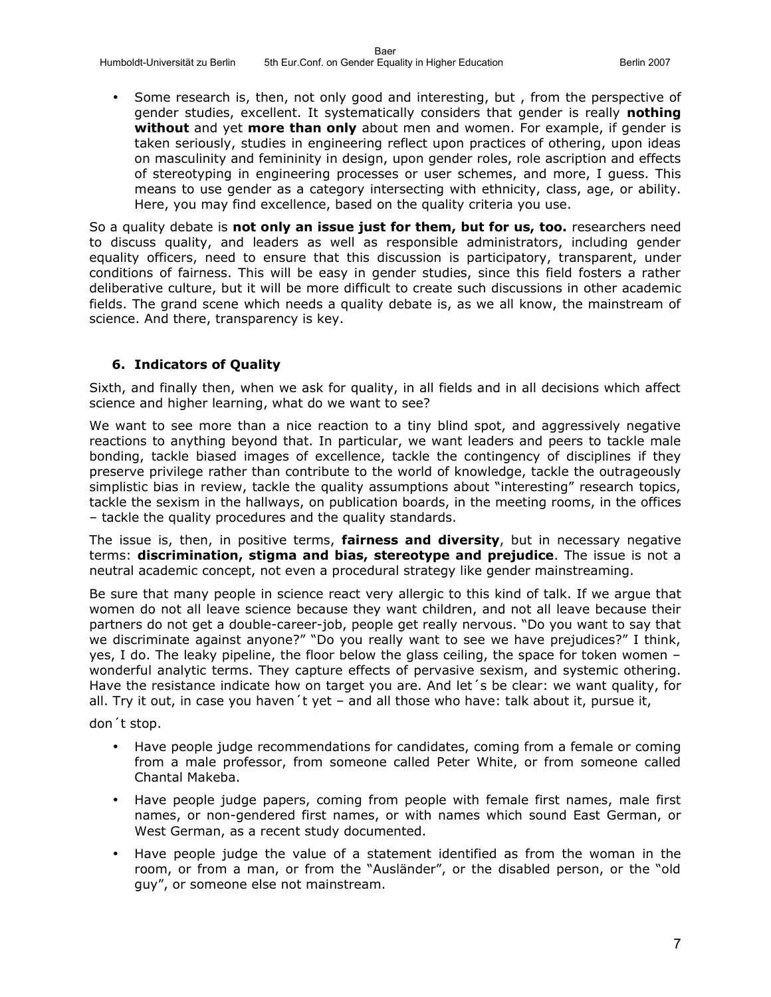Some research is, then, not only good and interesting, but, from the perspective of gender studies, excellent. It systematically considers that gender is really **nothing without** and yet **more than only** about men and women. For example, if gender is taken seriously, studies in engineering reflect upon practices of othering, upon ideas on masculinity and femininity in design, upon gender roles, role ascription and effects of stereotyping in engineering processes or user schemes, and more, I guess. This means to use gender as a category intersecting with ethnicity, class, age, or ability. Here, you may find excellence, based on the quality criteria you use.

So a quality debate is **not only an issue just for them, but for us, too.** researchers need to discuss quality, and leaders as well as responsible administrators, including gender equality officers, need to ensure that this discussion is participatory, transparent, under conditions of fairness. This will be easy in gender studies, since this field fosters a rather deliberative culture, but it will be more difficult to create such discussions in other academic fields. The grand scene which needs a quality debate is, as we all know, the mainstream of science. And there, transparency is key.

## **6. Indicators of Quality**

Sixth, and finally then, when we ask for quality, in all fields and in all decisions which affect science and higher learning, what do we want to see?

We want to see more than a nice reaction to a tiny blind spot, and aggressively negative reactions to anything beyond that. In particular, we want leaders and peers to tackle male bonding, tackle biased images of excellence, tackle the contingency of disciplines if they preserve privilege rather than contribute to the world of knowledge, tackle the outrageously simplistic bias in review, tackle the quality assumptions about "interesting" research topics, tackle the sexism in the hallways, on publication boards, in the meeting rooms, in the offices – tackle the quality procedures and the quality standards.

The issue is, then, in positive terms, **fairness and diversity**, but in necessary negative terms: **discrimination, stigma and bias, stereotype and prejudice**. The issue is not a neutral academic concept, not even a procedural strategy like gender mainstreaming.

Be sure that many people in science react very allergic to this kind of talk. If we argue that women do not all leave science because they want children, and not all leave because their partners do not get a double-career-job, people get really nervous. "Do you want to say that we discriminate against anyone?" "Do you really want to see we have prejudices?" I think, yes, I do. The leaky pipeline, the floor below the glass ceiling, the space for token women – wonderful analytic terms. They capture effects of pervasive sexism, and systemic othering. Have the resistance indicate how on target you are. And let´s be clear: we want quality, for all. Try it out, in case you haven´t yet – and all those who have: talk about it, pursue it,

don´t stop.

- Have people judge recommendations for candidates, coming from a female or coming from a male professor, from someone called Peter White, or from someone called Chantal Makeba.
- Have people judge papers, coming from people with female first names, male first names, or non-gendered first names, or with names which sound East German, or West German, as a recent study documented.
- Have people judge the value of a statement identified as from the woman in the room, or from a man, or from the "Ausländer", or the disabled person, or the "old guy", or someone else not mainstream.